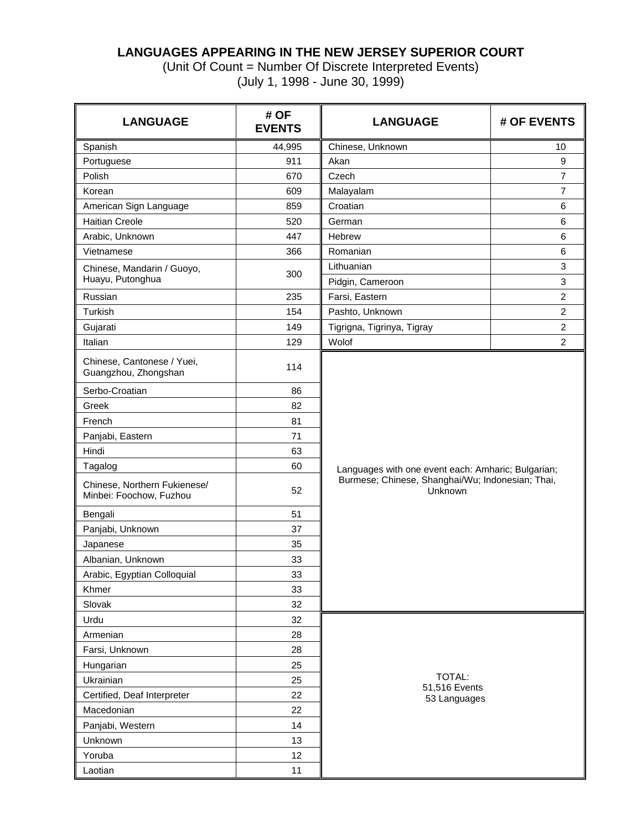## **LANGUAGES APPEARING IN THE NEW JERSEY SUPERIOR COURT**

(Unit Of Count = Number Of Discrete Interpreted Events) (July 1, 1998 - June 30, 1999)

| <b>LANGUAGE</b>                                         | # OF<br><b>EVENTS</b> | <b>LANGUAGE</b>                                             | # OF EVENTS                    |  |  |  |  |  |  |
|---------------------------------------------------------|-----------------------|-------------------------------------------------------------|--------------------------------|--|--|--|--|--|--|
| Spanish                                                 | 44,995                | Chinese, Unknown                                            | 10                             |  |  |  |  |  |  |
| Portuguese                                              | 911                   | Akan                                                        | 9                              |  |  |  |  |  |  |
| Polish                                                  | 670                   | Czech                                                       | $\overline{7}$                 |  |  |  |  |  |  |
| Korean                                                  | 609                   | Malayalam                                                   | $\overline{7}$                 |  |  |  |  |  |  |
| American Sign Language                                  | 859                   | Croatian                                                    | 6                              |  |  |  |  |  |  |
| <b>Haitian Creole</b>                                   | 520                   | German                                                      | 6                              |  |  |  |  |  |  |
| Arabic, Unknown                                         | 447                   | Hebrew                                                      | 6                              |  |  |  |  |  |  |
| Vietnamese                                              | 366                   | Romanian                                                    | 6                              |  |  |  |  |  |  |
| Chinese, Mandarin / Guoyo,<br>Huayu, Putonghua          | 300                   | Lithuanian<br>Pidgin, Cameroon                              | $\ensuremath{\mathsf{3}}$<br>3 |  |  |  |  |  |  |
| Russian                                                 | 235                   | Farsi, Eastern                                              | $\overline{c}$                 |  |  |  |  |  |  |
| Turkish                                                 | 154                   | Pashto, Unknown                                             | $\overline{2}$                 |  |  |  |  |  |  |
| Gujarati                                                | 149                   | Tigrigna, Tigrinya, Tigray                                  | $\overline{c}$                 |  |  |  |  |  |  |
| Italian                                                 | 129                   | Wolof                                                       | $\boldsymbol{2}$               |  |  |  |  |  |  |
| Chinese, Cantonese / Yuei,<br>Guangzhou, Zhongshan      | 114                   |                                                             |                                |  |  |  |  |  |  |
| Serbo-Croatian                                          | 86                    |                                                             |                                |  |  |  |  |  |  |
| Greek                                                   | 82                    |                                                             |                                |  |  |  |  |  |  |
| French                                                  | 81                    |                                                             |                                |  |  |  |  |  |  |
| Panjabi, Eastern                                        | 71                    |                                                             |                                |  |  |  |  |  |  |
| Hindi                                                   | 63                    |                                                             |                                |  |  |  |  |  |  |
| Tagalog                                                 | 60                    | Languages with one event each: Amharic; Bulgarian;          |                                |  |  |  |  |  |  |
| Chinese, Northern Fukienese/<br>Minbei: Foochow, Fuzhou | 52                    | Burmese; Chinese, Shanghai/Wu; Indonesian; Thai,<br>Unknown |                                |  |  |  |  |  |  |
| Bengali                                                 | 51                    |                                                             |                                |  |  |  |  |  |  |
| Panjabi, Unknown                                        | 37                    |                                                             |                                |  |  |  |  |  |  |
| Japanese                                                | 35                    |                                                             |                                |  |  |  |  |  |  |
| Albanian, Unknown                                       | 33                    |                                                             |                                |  |  |  |  |  |  |
| Arabic, Egyptian Colloquial                             | 33                    |                                                             |                                |  |  |  |  |  |  |
| Khmer                                                   | 33                    |                                                             |                                |  |  |  |  |  |  |
| Slovak                                                  | 32                    |                                                             |                                |  |  |  |  |  |  |
| Urdu                                                    | 32                    |                                                             |                                |  |  |  |  |  |  |
| Armenian                                                | 28                    |                                                             |                                |  |  |  |  |  |  |
| Farsi, Unknown                                          | 28                    |                                                             |                                |  |  |  |  |  |  |
| Hungarian                                               | 25                    |                                                             |                                |  |  |  |  |  |  |
| Ukrainian                                               | 25                    | <b>TOTAL:</b><br>51,516 Events                              |                                |  |  |  |  |  |  |
| Certified, Deaf Interpreter                             | 22                    | 53 Languages                                                |                                |  |  |  |  |  |  |
| Macedonian                                              | 22                    |                                                             |                                |  |  |  |  |  |  |
| Panjabi, Western                                        | 14                    |                                                             |                                |  |  |  |  |  |  |
| Unknown                                                 | 13                    |                                                             |                                |  |  |  |  |  |  |
| Yoruba                                                  | 12                    |                                                             |                                |  |  |  |  |  |  |
| Laotian                                                 | 11                    |                                                             |                                |  |  |  |  |  |  |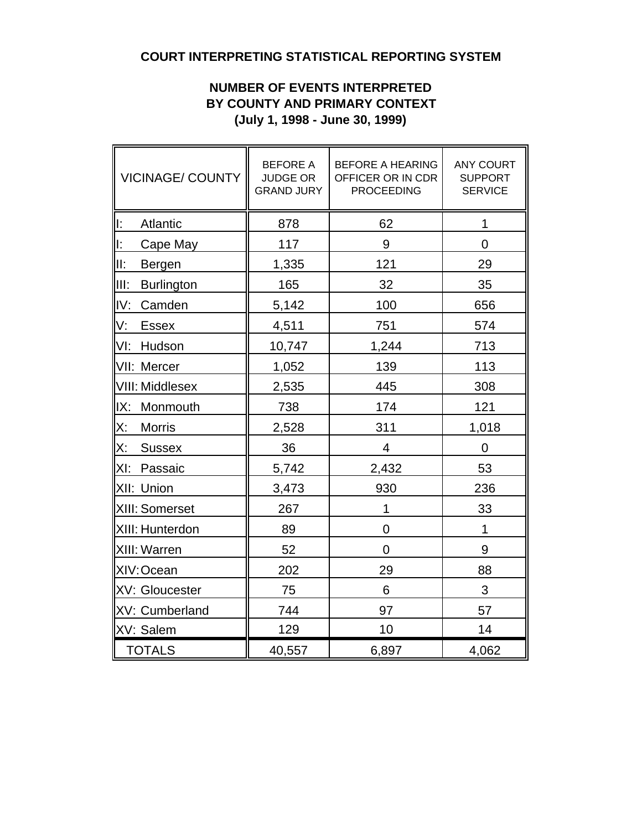# **COURT INTERPRETING STATISTICAL REPORTING SYSTEM**

## **NUMBER OF EVENTS INTERPRETED BY COUNTY AND PRIMARY CONTEXT (July 1, 1998 - June 30, 1999)**

| <b>VICINAGE/ COUNTY</b>    | <b>BEFORE A</b><br><b>JUDGE OR</b><br><b>GRAND JURY</b> | <b>BEFORE A HEARING</b><br>OFFICER OR IN CDR<br><b>PROCEEDING</b> | <b>ANY COURT</b><br><b>SUPPORT</b><br><b>SERVICE</b> |  |  |  |
|----------------------------|---------------------------------------------------------|-------------------------------------------------------------------|------------------------------------------------------|--|--|--|
| lı:<br>Atlantic            | 878                                                     | 62                                                                | 1                                                    |  |  |  |
| I:<br>Cape May             | 117                                                     | 9                                                                 | $\overline{0}$                                       |  |  |  |
| III:<br><b>Bergen</b>      | 1,335                                                   | 121                                                               | 29                                                   |  |  |  |
| IIII:<br><b>Burlington</b> | 165                                                     | 32                                                                | 35                                                   |  |  |  |
| IV:<br>Camden              | 5,142                                                   | 100                                                               | 656                                                  |  |  |  |
| V:<br><b>Essex</b>         | 4,511                                                   | 751                                                               | 574                                                  |  |  |  |
| VI:<br>Hudson              | 10,747                                                  | 1,244                                                             | 713                                                  |  |  |  |
| VII: Mercer                | 1,052                                                   | 139                                                               | 113                                                  |  |  |  |
| VIII: Middlesex            | 2,535                                                   | 445                                                               | 308                                                  |  |  |  |
| IX:<br>Monmouth            | 738                                                     | 174                                                               | 121                                                  |  |  |  |
| X:<br><b>Morris</b>        | 2,528                                                   | 311                                                               | 1,018                                                |  |  |  |
| X:<br><b>Sussex</b>        | 36                                                      | 4                                                                 | 0                                                    |  |  |  |
| $ X $ :<br>Passaic         | 5,742                                                   | 2,432                                                             | 53                                                   |  |  |  |
| XII: Union                 | 3,473                                                   | 930                                                               | 236                                                  |  |  |  |
| XIII: Somerset             | 267                                                     | 1                                                                 | 33                                                   |  |  |  |
| XIII: Hunterdon            | 89                                                      | $\overline{0}$                                                    | 1                                                    |  |  |  |
| XIII: Warren               | 52                                                      | $\overline{0}$                                                    | 9                                                    |  |  |  |
| XIV: Ocean                 | 202                                                     | 29                                                                | 88                                                   |  |  |  |
| XV: Gloucester             | 75                                                      | 6                                                                 | 3                                                    |  |  |  |
| XV: Cumberland             | 744                                                     | 97                                                                | 57                                                   |  |  |  |
| XV: Salem                  | 129                                                     | 10                                                                | 14                                                   |  |  |  |
| <b>TOTALS</b>              | 40,557                                                  | 6,897                                                             | 4,062                                                |  |  |  |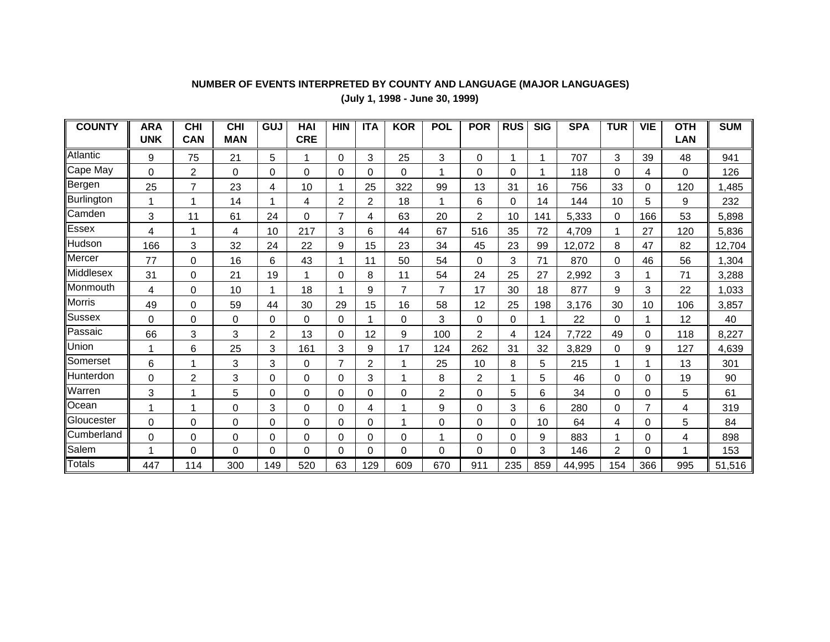## **NUMBER OF EVENTS INTERPRETED BY COUNTY AND LANGUAGE (MAJOR LANGUAGES)**

**(July 1, 1998 - June 30, 1999)**

| <b>COUNTY</b> | <b>ARA</b><br><b>UNK</b> | <b>CHI</b><br><b>CAN</b> | <b>CHI</b><br><b>MAN</b> | GUJ      | <b>HAI</b><br><b>CRE</b> | <b>HIN</b>     | <b>ITA</b>     | <b>KOR</b>     | <b>POL</b>     | <b>POR</b>     | <b>RUS</b> | $\overline{\text{SIG}}$ | <b>SPA</b> | <b>TUR</b> | <b>VIE</b>     | <b>OTH</b><br><b>LAN</b> | <b>SUM</b> |
|---------------|--------------------------|--------------------------|--------------------------|----------|--------------------------|----------------|----------------|----------------|----------------|----------------|------------|-------------------------|------------|------------|----------------|--------------------------|------------|
|               |                          |                          |                          |          |                          |                |                |                |                |                |            |                         |            |            |                |                          |            |
| Atlantic      | 9                        | 75                       | 21                       | 5        | 1                        | 0              | 3              | 25             | 3              | 0              | 1          |                         | 707        | 3          | 39             | 48                       | 941        |
| Cape May      | 0                        | $\overline{2}$           | 0                        | $\Omega$ | 0                        | 0              | 0              | $\Omega$       |                | 0              | $\Omega$   |                         | 118        | 0          | 4              | $\Omega$                 | 126        |
| Bergen        | 25                       | 7                        | 23                       | 4        | 10                       |                | 25             | 322            | 99             | 13             | 31         | 16                      | 756        | 33         | 0              | 120                      | 1,485      |
| Burlington    | 1                        |                          | 14                       |          | 4                        | 2              | $\overline{2}$ | 18             |                | 6              | 0          | 14                      | 144        | 10         | 5              | 9                        | 232        |
| <b>Camden</b> | 3                        | 11                       | 61                       | 24       | $\Omega$                 | $\overline{7}$ | 4              | 63             | 20             | $\overline{2}$ | 10         | 141                     | 5,333      | 0          | 166            | 53                       | 5,898      |
| Essex         | 4                        |                          | 4                        | 10       | 217                      | 3              | 6              | 44             | 67             | 516            | 35         | 72                      | 4,709      |            | 27             | 120                      | 5,836      |
| Hudson        | 166                      | 3                        | 32                       | 24       | 22                       | 9              | 15             | 23             | 34             | 45             | 23         | 99                      | 12,072     | 8          | 47             | 82                       | 12,704     |
| Mercer        | 77                       | $\Omega$                 | 16                       | 6        | 43                       |                | 11             | 50             | 54             | $\Omega$       | 3          | 71                      | 870        | $\Omega$   | 46             | 56                       | 1,304      |
| Middlesex     | 31                       | 0                        | 21                       | 19       | 1                        | 0              | 8              | 11             | 54             | 24             | 25         | 27                      | 2,992      | 3          |                | 71                       | 3,288      |
| Monmouth      | 4                        | 0                        | 10                       |          | 18                       |                | 9              | $\overline{7}$ | 7              | 17             | 30         | 18                      | 877        | 9          | 3              | 22                       | 1,033      |
| Morris        | 49                       | 0                        | 59                       | 44       | 30                       | 29             | 15             | 16             | 58             | 12             | 25         | 198                     | 3,176      | 30         | 10             | 106                      | 3,857      |
| Sussex        | 0                        | 0                        | 0                        | $\Omega$ | 0                        | 0              |                | $\mathbf 0$    | 3              | 0              | 0          |                         | 22         | 0          | 1              | 12                       | 40         |
| Passaic       | 66                       | 3                        | 3                        | 2        | 13                       | 0              | 12             | 9              | 100            | 2              | 4          | 124                     | 7,722      | 49         | 0              | 118                      | 8,227      |
| Union         | 1                        | 6                        | 25                       | 3        | 161                      | 3              | 9              | 17             | 124            | 262            | 31         | 32                      | 3,829      | 0          | 9              | 127                      | 4,639      |
| Somerset      | 6                        |                          | 3                        | 3        | 0                        | $\overline{7}$ | 2              |                | 25             | 10             | 8          | 5                       | 215        |            |                | 13                       | 301        |
| llHunterdon   | $\Omega$                 | $\overline{c}$           | 3                        | $\Omega$ | 0                        | 0              | 3              |                | 8              | $\overline{c}$ |            | 5                       | 46         | 0          | $\Omega$       | 19                       | 90         |
| Warren        | 3                        |                          | 5                        | $\Omega$ | $\mathbf 0$              | 0              | $\Omega$       | $\Omega$       | $\overline{c}$ | 0              | 5          | 6                       | 34         | 0          | $\Omega$       | 5                        | 61         |
| Ocean         | 1                        |                          | $\mathbf 0$              | 3        | $\boldsymbol{0}$         | 0              | 4              |                | 9              | 0              | 3          | 6                       | 280        | 0          | $\overline{7}$ | 4                        | 319        |
| Gloucester    | 0                        | 0                        | 0                        | 0        | 0                        | 0              | 0              |                | $\Omega$       | 0              | 0          | 10                      | 64         | 4          | 0              | 5                        | 84         |
| Cumberland    | 0                        | 0                        | 0                        | $\Omega$ | 0                        | 0              | 0              | $\Omega$       |                | 0              | 0          | 9                       | 883        |            | $\Omega$       | 4                        | 898        |
| Salem         | 1                        | 0                        | $\Omega$                 | $\Omega$ | 0                        | 0              | 0              | $\Omega$       | $\Omega$       | 0              | 0          | 3                       | 146        | 2          | $\Omega$       | 1                        | 153        |
| <b>Totals</b> | 447                      | 114                      | 300                      | 149      | 520                      | 63             | 129            | 609            | 670            | 911            | 235        | 859                     | 44,995     | 154        | 366            | 995                      | 51,516     |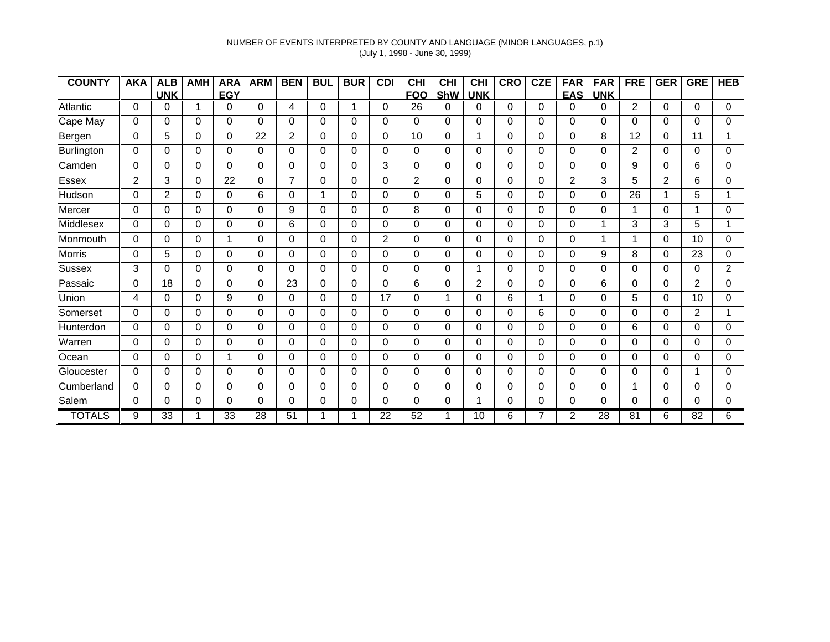### NUMBER OF EVENTS INTERPRETED BY COUNTY AND LANGUAGE (MINOR LANGUAGES, p.1) (July 1, 1998 - June 30, 1999)

| <b>COUNTY</b>    | AKA            | <b>ALB</b>     | <b>AMH</b> | <b>ARA</b> | <b>ARM</b> | <b>BEN</b>     | <b>BUL</b> | <b>BUR</b> | <b>CDI</b> | <b>CHI</b>     | <b>CHI</b> | <b>CHI</b>     | <b>CRO</b> | <b>CZE</b> | <b>FAR</b>     | <b>FAR</b> | <b>FRE</b> | <b>GER</b>     | <b>GRE</b> | <b>HEB</b>     |
|------------------|----------------|----------------|------------|------------|------------|----------------|------------|------------|------------|----------------|------------|----------------|------------|------------|----------------|------------|------------|----------------|------------|----------------|
|                  |                | <b>UNK</b>     |            | <b>EGY</b> |            |                |            |            |            | <b>FOO</b>     | ShW        | <b>UNK</b>     |            |            | <b>EAS</b>     | <b>UNK</b> |            |                |            |                |
| Atlantic         | 0              | 0              |            | 0          | 0          | 4              | 0          | 1          | 0          | 26             | 0          | 0              | 0          | 0          | 0              | 0          | 2          | 0              | 0          | $\Omega$       |
| Cape May         | 0              | 0              | 0          | 0          | 0          | 0              | 0          | 0          | 0          | 0              | $\Omega$   | 0              | 0          | 0          | 0              | 0          | 0          | 0              | 0          | 0              |
| Bergen           | 0              | 5              | 0          | $\Omega$   | 22         | 2              | 0          | 0          | $\Omega$   | 10             | 0          | 1              | 0          | 0          | 0              | 8          | 12         | 0              | 11         |                |
| Burlington       | 0              | 0              | $\Omega$   | 0          | 0          | 0              | 0          | 0          | $\Omega$   | 0              | $\Omega$   | 0              | $\Omega$   | $\Omega$   | 0              | $\Omega$   | 2          | 0              | $\Omega$   | 0              |
| <b>Camden</b>    | 0              | 0              | $\Omega$   | 0          | $\Omega$   | 0              | 0          | 0          | 3          | 0              | $\Omega$   | 0              | $\Omega$   | 0          | 0              | $\Omega$   | 9          | 0              | 6          | 0              |
| Essex            | $\overline{2}$ | 3              | $\Omega$   | 22         | $\Omega$   | $\overline{7}$ | 0          | 0          | $\Omega$   | $\overline{2}$ | $\Omega$   | 0              | 0          | $\Omega$   | 2              | 3          | 5          | $\overline{2}$ | 6          | 0              |
| Hudson           | $\Omega$       | $\overline{2}$ | $\Omega$   | $\Omega$   | 6          | 0              |            | 0          | $\Omega$   | 0              | $\Omega$   | 5              | $\Omega$   | $\Omega$   | 0              | $\Omega$   | 26         | $\mathbf 1$    | 5          |                |
| Mercer           | 0              | 0              | 0          | $\Omega$   | 0          | 9              | 0          | 0          | 0          | 8              | 0          | 0              | 0          | 0          | 0              | 0          | 1          | 0              |            | 0              |
| Middlesex        | 0              | 0              | $\Omega$   | $\Omega$   | 0          | 6              | $\Omega$   | 0          | $\Omega$   | 0              | $\Omega$   | $\Omega$       | $\Omega$   | 0          | 0              | 1          | 3          | 3              | 5          | 1              |
| Monmouth         | $\Omega$       | 0              | $\Omega$   | 1          | 0          | $\Omega$       | 0          | 0          | 2          | 0              | $\Omega$   | 0              | $\Omega$   | $\Omega$   | 0              | 1          | 1          | 0              | 10         | 0              |
| <b>Morris</b>    | 0              | 5              | $\Omega$   | $\Omega$   | 0          | 0              | 0          | 0          | 0          | 0              | $\Omega$   | 0              | 0          | 0          | 0              | 9          | 8          | 0              | 23         | 0              |
| Sussex           | 3              | 0              | $\Omega$   | $\Omega$   | $\Omega$   | 0              | 0          | $\Omega$   | $\Omega$   | 0              | $\Omega$   | 1              | $\Omega$   | 0          | 0              | 0          | $\Omega$   | 0              | $\Omega$   | $\overline{2}$ |
| Passaic          | $\Omega$       | 18             | 0          | $\Omega$   | $\Omega$   | 23             | 0          | 0          | 0          | 6              | $\Omega$   | $\overline{2}$ | 0          | $\Omega$   | 0              | 6          | $\Omega$   | 0              | 2          | 0              |
| Union            | 4              | 0              | 0          | 9          | 0          | 0              | 0          | 0          | 17         | 0              | 1          | 0              | 6          | 1          | 0              | 0          | 5          | $\Omega$       | 10         | 0              |
| Somerset         | 0              | 0              | $\Omega$   | 0          | 0          | 0              | 0          | 0          | $\Omega$   | 0              | 0          | 0              | 0          | 6          | 0              | 0          | $\Omega$   | 0              | 2          |                |
| <b>Hunterdon</b> | 0              | 0              | $\Omega$   | 0          | 0          | $\Omega$       | 0          | 0          | $\Omega$   | 0              | 0          | 0              | $\Omega$   | $\Omega$   | 0              | 0          | 6          | 0              | 0          | 0              |
| Warren           | $\Omega$       | 0              | $\Omega$   | $\Omega$   | 0          | 0              | 0          | 0          | $\Omega$   | 0              | $\Omega$   | $\Omega$       | $\Omega$   | $\Omega$   | 0              | $\Omega$   | $\Omega$   | 0              | $\Omega$   | 0              |
| Ocean            | 0              | 0              | $\Omega$   | 1          | 0          | 0              | 0          | 0          | $\Omega$   | 0              | $\Omega$   | 0              | 0          | 0          | 0              | 0          | $\Omega$   | 0              | $\Omega$   | 0              |
| Gloucester       | $\Omega$       | 0              | $\Omega$   | $\Omega$   | 0          | 0              | 0          | 0          | $\Omega$   | 0              | $\Omega$   | 0              | $\Omega$   | 0          | 0              | 0          | $\Omega$   | 0              | 1          | 0              |
| Cumberland       | 0              | 0              | 0          | 0          | 0          | 0              | 0          | 0          | 0          | 0              | $\Omega$   | 0              | 0          | 0          | 0              | 0          | 1          | 0              | 0          | 0              |
| Salem            | 0              | 0              | 0          | $\Omega$   | 0          | 0              | 0          | 0          | 0          | 0              | 0          | 4              | 0          | 0          | 0              | 0          | 0          | 0              | 0          | 0              |
| <b>TOTALS</b>    | 9              | 33             |            | 33         | 28         | 51             |            |            | 22         | 52             |            | 10             | 6          |            | $\overline{2}$ | 28         | 81         | 6              | 82         | 6.             |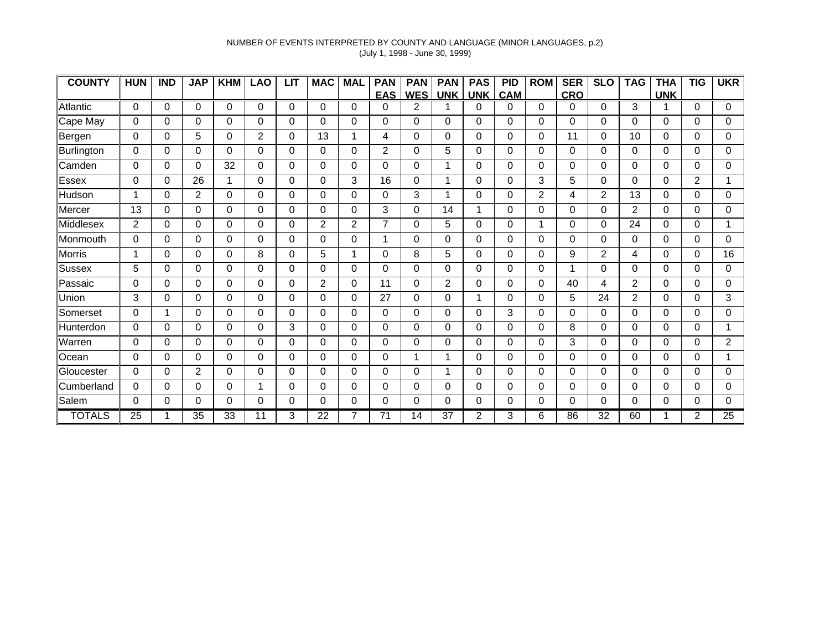### NUMBER OF EVENTS INTERPRETED BY COUNTY AND LANGUAGE (MINOR LANGUAGES, p.2) (July 1, 1998 - June 30, 1999)

| <b>COUNTY</b> | <b>HUN</b> | <b>IND</b> | <b>JAP</b>     | <b>KHM</b> | <b>LAO</b> | <b>LIT</b> | <b>MAC</b>     | <b>MAL</b> | <b>PAN</b>     | <b>PAN</b> | <b>PAN</b>     | <b>PAS</b>     | <b>PID</b> | <b>ROM</b>     | <b>SER</b> | <b>SLO</b>     | <b>TAG</b>     | <b>THA</b> | <b>TIG</b>     | <b>UKR</b>      |
|---------------|------------|------------|----------------|------------|------------|------------|----------------|------------|----------------|------------|----------------|----------------|------------|----------------|------------|----------------|----------------|------------|----------------|-----------------|
|               |            |            |                |            |            |            |                |            | <b>EAS</b>     | <b>WES</b> | <b>UNK</b>     | <b>UNK</b>     | <b>CAM</b> |                | CRO        |                |                | <b>UNK</b> |                |                 |
| Atlantic      | $\Omega$   | 0          | 0              | $\Omega$   | 0          | 0          | 0              | 0          | 0              | 2          |                | 0              | 0          | $\Omega$       | 0          | 0              | 3              |            | $\Omega$       | 0               |
| Cape May      | 0          | 0          | 0              | 0          | 0          | 0          | 0              | 0          | 0              | 0          | $\Omega$       | 0              | $\Omega$   | 0              | 0          | 0              | 0              | 0          | 0              | 0               |
| Bergen        | 0          | 0          | 5              | $\Omega$   | 2          | 0          | 13             | 1          | 4              | 0          | 0              | 0              | 0          | 0              | 11         | 0              | 10             | 0          | 0              | 0               |
| Burlington    | 0          | 0          | $\Omega$       | 0          | 0          | 0          | 0              | 0          | 2              | 0          | 5              | 0              | $\Omega$   | $\Omega$       | 0          | $\Omega$       | 0              | 0          | $\Omega$       | 0               |
| <b>Camden</b> | 0          | 0          | $\Omega$       | 32         | $\Omega$   | 0          | 0              | 0          | $\Omega$       | 0          | 1              | $\Omega$       | $\Omega$   | $\Omega$       | 0          | $\Omega$       | $\Omega$       | 0          | $\Omega$       | $\Omega$        |
| Essex         | $\Omega$   | 0          | 26             | 1          | $\Omega$   | 0          | 0              | 3          | 16             | 0          | 1              | 0              | $\Omega$   | 3              | 5          | 0              | $\Omega$       | 0          | $\overline{2}$ | 1               |
| Hudson        | 1          | 0          | 2              | $\Omega$   | $\Omega$   | 0          | 0              | 0          | $\Omega$       | 3          | 1              | $\Omega$       | $\Omega$   | $\overline{2}$ | 4          | $\overline{2}$ | 13             | $\Omega$   | $\Omega$       | 0               |
| Mercer        | 13         | 0          | 0              | $\Omega$   | 0          | 0          | 0              | 0          | 3              | 0          | 14             | 1              | $\Omega$   | 0              | 0          | 0              | $\overline{2}$ | 0          | 0              | 0               |
| Middlesex     | 2          | 0          | $\Omega$       | $\Omega$   | 0          | 0          | $\overline{2}$ | 2          | $\overline{7}$ | 0          | 5              | 0              | $\Omega$   | 1              | 0          | 0              | 24             | 0          | $\Omega$       | 1               |
| Monmouth      | 0          | 0          | $\Omega$       | 0          | $\Omega$   | $\Omega$   | $\Omega$       | 0          | 1              | 0          | $\Omega$       | 0              | $\Omega$   | $\Omega$       | 0          | $\Omega$       | $\Omega$       | 0          | $\Omega$       | 0               |
| <b>Morris</b> | 1          | 0          | $\Omega$       | $\Omega$   | 8          | 0          | 5              | 1          | 0              | 8          | 5              | 0              | 0          | 0              | 9          | 2              | 4              | 0          | $\Omega$       | 16              |
| Sussex        | 5          | 0          | $\Omega$       | $\Omega$   | $\Omega$   | 0          | 0              | $\Omega$   | $\Omega$       | 0          | $\Omega$       | 0              | $\Omega$   | 0              | 1          | 0              | $\Omega$       | 0          | $\Omega$       | 0               |
| Passaic       | $\Omega$   | 0          | 0              | $\Omega$   | $\Omega$   | 0          | $\overline{2}$ | 0          | 11             | 0          | $\overline{2}$ | 0              | 0          | $\Omega$       | 40         | 4              | 2              | 0          | 0              | 0               |
| Union         | 3          | 0          | $\Omega$       | $\Omega$   | $\Omega$   | 0          | 0              | 0          | 27             | 0          | $\Omega$       |                | $\Omega$   | $\Omega$       | 5          | 24             | $\overline{2}$ | $\Omega$   | $\Omega$       | 3               |
| Somerset      | 0          | 1          | $\Omega$       | $\Omega$   | 0          | 0          | 0              | 0          | $\Omega$       | 0          | 0              | 0              | 3          | 0              | 0          | 0              | $\Omega$       | 0          | $\Omega$       | 0               |
| Hunterdon     | 0          | 0          | $\Omega$       | 0          | 0          | 3          | 0              | 0          | $\Omega$       | 0          | $\Omega$       | 0              | $\Omega$   | $\Omega$       | 8          | 0              | $\Omega$       | 0          | $\Omega$       |                 |
| Warren        | $\Omega$   | 0          | $\Omega$       | $\Omega$   | $\Omega$   | 0          | 0              | 0          | $\Omega$       | $\Omega$   | $\Omega$       | $\Omega$       | $\Omega$   | $\Omega$       | 3          | $\Omega$       | $\Omega$       | 0          | $\Omega$       | $\overline{2}$  |
| Ocean         | 0          | 0          | $\Omega$       | $\Omega$   | 0          | 0          | 0              | $\Omega$   | $\Omega$       | 1          | 1              | 0              | 0          | $\Omega$       | 0          | 0              | $\Omega$       | 0          | $\Omega$       | 1.              |
| Gloucester    | $\Omega$   | 0          | $\overline{2}$ | 0          | $\Omega$   | 0          | 0              | 0          | $\Omega$       | 0          | 1              | 0              | $\Omega$   | 0              | 0          | 0              | $\Omega$       | 0          | $\Omega$       | 0               |
| Cumberland    | 0          | 0          | 0              | 0          | 1          | 0          | 0              | 0          | 0              | 0          | $\Omega$       | 0              | 0          | 0              | 0          | 0              | 0              | 0          | 0              | 0               |
| Salem         | 0          | 0          | 0              | $\Omega$   | 0          | 0          | 0              | 0          | 0              | 0          | 0              | 0              | 0          | 0              | 0          | 0              | 0              | 0          | 0              | 0               |
| <b>TOTALS</b> | 25         |            | 35             | 33         | 11         | 3          | 22             |            | 71             | 14         | 37             | $\overline{2}$ | 3          | 6              | 86         | 32             | 60             | 1          | 2              | $\overline{25}$ |